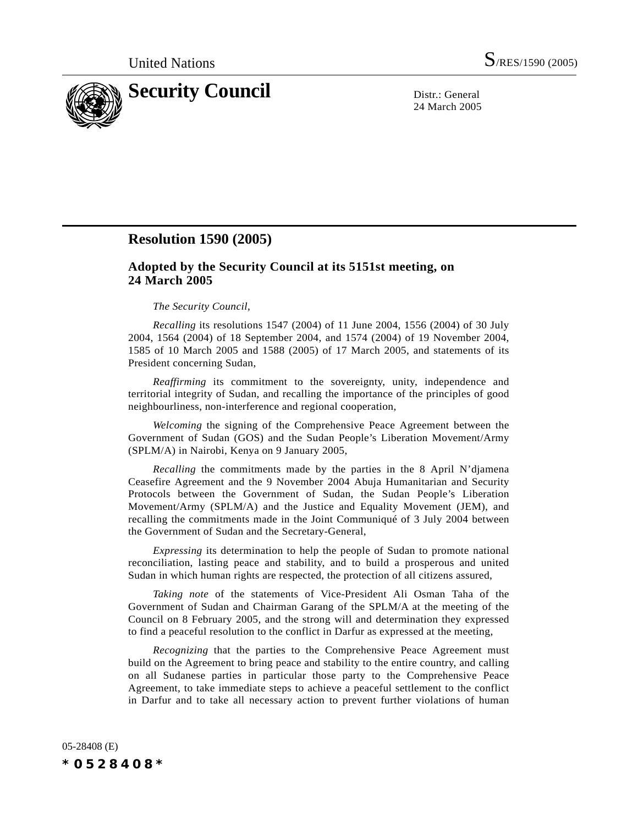

24 March 2005

## **Resolution 1590 (2005)**

## **Adopted by the Security Council at its 5151st meeting, on 24 March 2005**

## *The Security Council*,

*Recalling* its resolutions 1547 (2004) of 11 June 2004, 1556 (2004) of 30 July 2004, 1564 (2004) of 18 September 2004, and 1574 (2004) of 19 November 2004, 1585 of 10 March 2005 and 1588 (2005) of 17 March 2005, and statements of its President concerning Sudan,

*Reaffirming* its commitment to the sovereignty, unity, independence and territorial integrity of Sudan, and recalling the importance of the principles of good neighbourliness, non-interference and regional cooperation,

*Welcoming* the signing of the Comprehensive Peace Agreement between the Government of Sudan (GOS) and the Sudan People's Liberation Movement/Army (SPLM/A) in Nairobi, Kenya on 9 January 2005,

*Recalling* the commitments made by the parties in the 8 April N'djamena Ceasefire Agreement and the 9 November 2004 Abuja Humanitarian and Security Protocols between the Government of Sudan, the Sudan People's Liberation Movement/Army (SPLM/A) and the Justice and Equality Movement (JEM), and recalling the commitments made in the Joint Communiqué of 3 July 2004 between the Government of Sudan and the Secretary-General,

*Expressing* its determination to help the people of Sudan to promote national reconciliation, lasting peace and stability, and to build a prosperous and united Sudan in which human rights are respected, the protection of all citizens assured,

*Taking note* of the statements of Vice-President Ali Osman Taha of the Government of Sudan and Chairman Garang of the SPLM/A at the meeting of the Council on 8 February 2005, and the strong will and determination they expressed to find a peaceful resolution to the conflict in Darfur as expressed at the meeting,

*Recognizing* that the parties to the Comprehensive Peace Agreement must build on the Agreement to bring peace and stability to the entire country, and calling on all Sudanese parties in particular those party to the Comprehensive Peace Agreement, to take immediate steps to achieve a peaceful settlement to the conflict in Darfur and to take all necessary action to prevent further violations of human

05-28408 (E) *\*0528408\**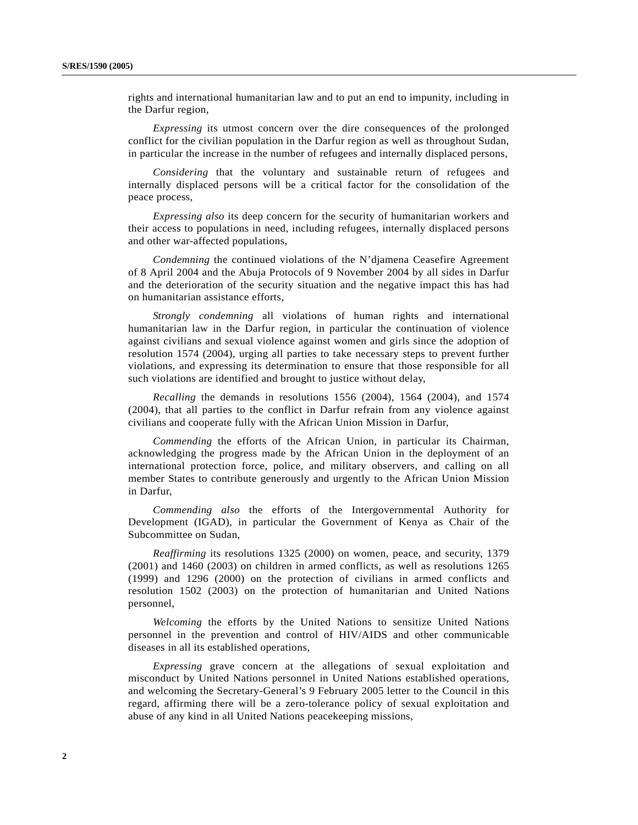rights and international humanitarian law and to put an end to impunity, including in the Darfur region,

*Expressing* its utmost concern over the dire consequences of the prolonged conflict for the civilian population in the Darfur region as well as throughout Sudan, in particular the increase in the number of refugees and internally displaced persons,

*Considering* that the voluntary and sustainable return of refugees and internally displaced persons will be a critical factor for the consolidation of the peace process,

*Expressing also* its deep concern for the security of humanitarian workers and their access to populations in need, including refugees, internally displaced persons and other war-affected populations,

*Condemning* the continued violations of the N'djamena Ceasefire Agreement of 8 April 2004 and the Abuja Protocols of 9 November 2004 by all sides in Darfur and the deterioration of the security situation and the negative impact this has had on humanitarian assistance efforts,

*Strongly condemning* all violations of human rights and international humanitarian law in the Darfur region, in particular the continuation of violence against civilians and sexual violence against women and girls since the adoption of resolution 1574 (2004), urging all parties to take necessary steps to prevent further violations, and expressing its determination to ensure that those responsible for all such violations are identified and brought to justice without delay,

*Recalling* the demands in resolutions 1556 (2004), 1564 (2004), and 1574 (2004), that all parties to the conflict in Darfur refrain from any violence against civilians and cooperate fully with the African Union Mission in Darfur,

*Commending* the efforts of the African Union, in particular its Chairman, acknowledging the progress made by the African Union in the deployment of an international protection force, police, and military observers, and calling on all member States to contribute generously and urgently to the African Union Mission in Darfur,

*Commending also* the efforts of the Intergovernmental Authority for Development (IGAD), in particular the Government of Kenya as Chair of the Subcommittee on Sudan,

*Reaffirming* its resolutions 1325 (2000) on women, peace, and security, 1379 (2001) and 1460 (2003) on children in armed conflicts, as well as resolutions 1265 (1999) and 1296 (2000) on the protection of civilians in armed conflicts and resolution 1502 (2003) on the protection of humanitarian and United Nations personnel,

*Welcoming* the efforts by the United Nations to sensitize United Nations personnel in the prevention and control of HIV/AIDS and other communicable diseases in all its established operations,

*Expressing* grave concern at the allegations of sexual exploitation and misconduct by United Nations personnel in United Nations established operations, and welcoming the Secretary-General's 9 February 2005 letter to the Council in this regard, affirming there will be a zero-tolerance policy of sexual exploitation and abuse of any kind in all United Nations peacekeeping missions,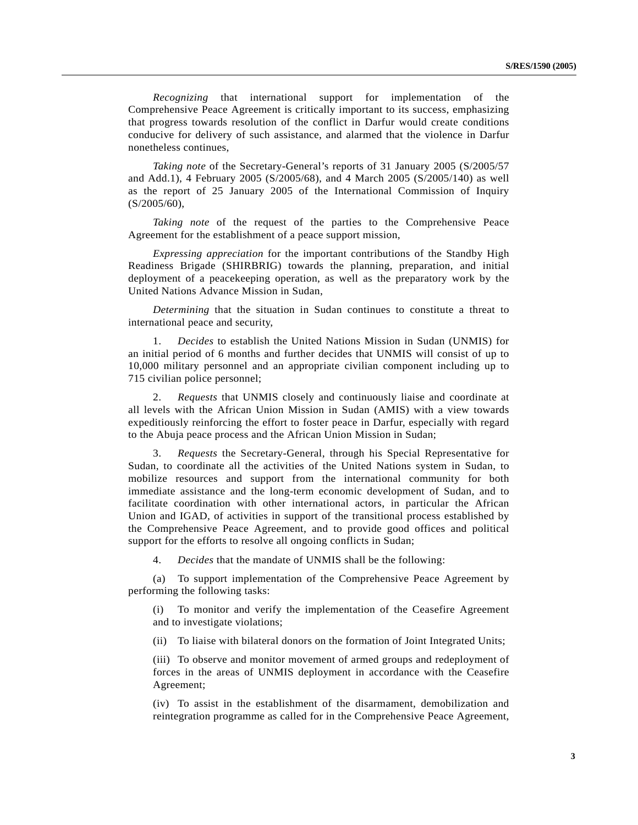*Recognizing* that international support for implementation of the Comprehensive Peace Agreement is critically important to its success, emphasizing that progress towards resolution of the conflict in Darfur would create conditions conducive for delivery of such assistance, and alarmed that the violence in Darfur nonetheless continues,

*Taking note* of the Secretary-General's reports of 31 January 2005 (S/2005/57 and Add.1), 4 February 2005 (S/2005/68), and 4 March 2005 (S/2005/140) as well as the report of 25 January 2005 of the International Commission of Inquiry (S/2005/60),

*Taking note* of the request of the parties to the Comprehensive Peace Agreement for the establishment of a peace support mission,

*Expressing appreciation* for the important contributions of the Standby High Readiness Brigade (SHIRBRIG) towards the planning, preparation, and initial deployment of a peacekeeping operation, as well as the preparatory work by the United Nations Advance Mission in Sudan,

*Determining* that the situation in Sudan continues to constitute a threat to international peace and security,

1. *Decides* to establish the United Nations Mission in Sudan (UNMIS) for an initial period of 6 months and further decides that UNMIS will consist of up to 10,000 military personnel and an appropriate civilian component including up to 715 civilian police personnel;

2. *Requests* that UNMIS closely and continuously liaise and coordinate at all levels with the African Union Mission in Sudan (AMIS) with a view towards expeditiously reinforcing the effort to foster peace in Darfur, especially with regard to the Abuja peace process and the African Union Mission in Sudan;

3. *Requests* the Secretary-General, through his Special Representative for Sudan, to coordinate all the activities of the United Nations system in Sudan, to mobilize resources and support from the international community for both immediate assistance and the long-term economic development of Sudan, and to facilitate coordination with other international actors, in particular the African Union and IGAD, of activities in support of the transitional process established by the Comprehensive Peace Agreement, and to provide good offices and political support for the efforts to resolve all ongoing conflicts in Sudan;

4. *Decides* that the mandate of UNMIS shall be the following:

(a) To support implementation of the Comprehensive Peace Agreement by performing the following tasks:

(i) To monitor and verify the implementation of the Ceasefire Agreement and to investigate violations;

(ii) To liaise with bilateral donors on the formation of Joint Integrated Units;

(iii) To observe and monitor movement of armed groups and redeployment of forces in the areas of UNMIS deployment in accordance with the Ceasefire Agreement;

(iv) To assist in the establishment of the disarmament, demobilization and reintegration programme as called for in the Comprehensive Peace Agreement,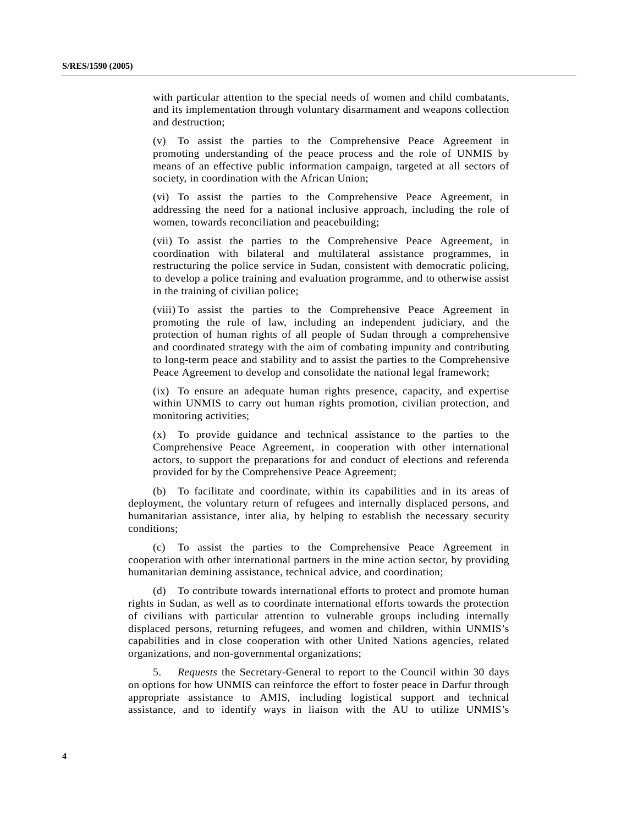with particular attention to the special needs of women and child combatants, and its implementation through voluntary disarmament and weapons collection and destruction;

(v) To assist the parties to the Comprehensive Peace Agreement in promoting understanding of the peace process and the role of UNMIS by means of an effective public information campaign, targeted at all sectors of society, in coordination with the African Union;

(vi) To assist the parties to the Comprehensive Peace Agreement, in addressing the need for a national inclusive approach, including the role of women, towards reconciliation and peacebuilding;

(vii) To assist the parties to the Comprehensive Peace Agreement, in coordination with bilateral and multilateral assistance programmes, in restructuring the police service in Sudan, consistent with democratic policing, to develop a police training and evaluation programme, and to otherwise assist in the training of civilian police;

(viii) To assist the parties to the Comprehensive Peace Agreement in promoting the rule of law, including an independent judiciary, and the protection of human rights of all people of Sudan through a comprehensive and coordinated strategy with the aim of combating impunity and contributing to long-term peace and stability and to assist the parties to the Comprehensive Peace Agreement to develop and consolidate the national legal framework;

(ix) To ensure an adequate human rights presence, capacity, and expertise within UNMIS to carry out human rights promotion, civilian protection, and monitoring activities;

(x) To provide guidance and technical assistance to the parties to the Comprehensive Peace Agreement, in cooperation with other international actors, to support the preparations for and conduct of elections and referenda provided for by the Comprehensive Peace Agreement;

(b) To facilitate and coordinate, within its capabilities and in its areas of deployment, the voluntary return of refugees and internally displaced persons, and humanitarian assistance, inter alia, by helping to establish the necessary security conditions;

(c) To assist the parties to the Comprehensive Peace Agreement in cooperation with other international partners in the mine action sector, by providing humanitarian demining assistance, technical advice, and coordination;

(d) To contribute towards international efforts to protect and promote human rights in Sudan, as well as to coordinate international efforts towards the protection of civilians with particular attention to vulnerable groups including internally displaced persons, returning refugees, and women and children, within UNMIS's capabilities and in close cooperation with other United Nations agencies, related organizations, and non-governmental organizations;

5. *Requests* the Secretary-General to report to the Council within 30 days on options for how UNMIS can reinforce the effort to foster peace in Darfur through appropriate assistance to AMIS, including logistical support and technical assistance, and to identify ways in liaison with the AU to utilize UNMIS's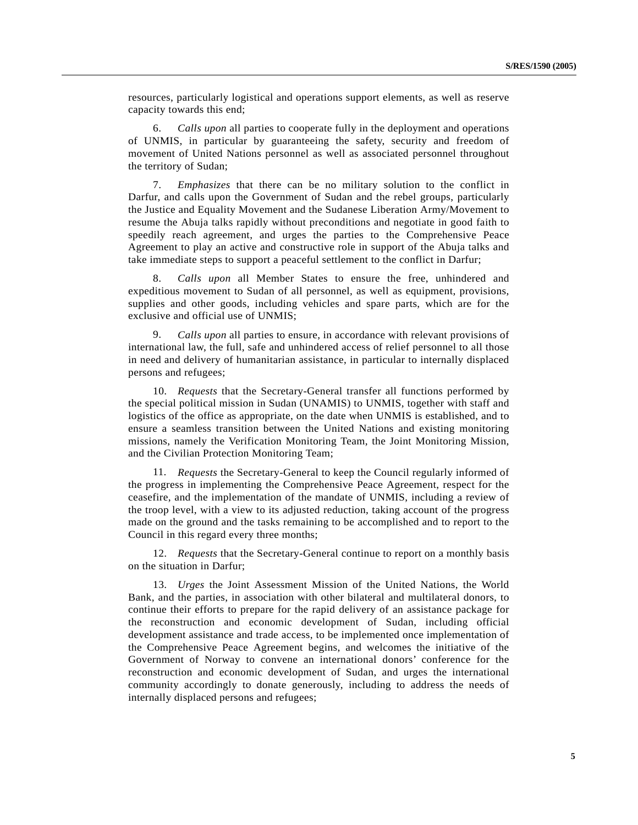resources, particularly logistical and operations support elements, as well as reserve capacity towards this end;

6. *Calls upon* all parties to cooperate fully in the deployment and operations of UNMIS, in particular by guaranteeing the safety, security and freedom of movement of United Nations personnel as well as associated personnel throughout the territory of Sudan;

7. *Emphasizes* that there can be no military solution to the conflict in Darfur, and calls upon the Government of Sudan and the rebel groups, particularly the Justice and Equality Movement and the Sudanese Liberation Army/Movement to resume the Abuja talks rapidly without preconditions and negotiate in good faith to speedily reach agreement, and urges the parties to the Comprehensive Peace Agreement to play an active and constructive role in support of the Abuja talks and take immediate steps to support a peaceful settlement to the conflict in Darfur;

8. *Calls upon* all Member States to ensure the free, unhindered and expeditious movement to Sudan of all personnel, as well as equipment, provisions, supplies and other goods, including vehicles and spare parts, which are for the exclusive and official use of UNMIS;

9. *Calls upon* all parties to ensure, in accordance with relevant provisions of international law, the full, safe and unhindered access of relief personnel to all those in need and delivery of humanitarian assistance, in particular to internally displaced persons and refugees;

10. *Requests* that the Secretary-General transfer all functions performed by the special political mission in Sudan (UNAMIS) to UNMIS, together with staff and logistics of the office as appropriate, on the date when UNMIS is established, and to ensure a seamless transition between the United Nations and existing monitoring missions, namely the Verification Monitoring Team, the Joint Monitoring Mission, and the Civilian Protection Monitoring Team;

11. *Requests* the Secretary-General to keep the Council regularly informed of the progress in implementing the Comprehensive Peace Agreement, respect for the ceasefire, and the implementation of the mandate of UNMIS, including a review of the troop level, with a view to its adjusted reduction, taking account of the progress made on the ground and the tasks remaining to be accomplished and to report to the Council in this regard every three months;

12. *Requests* that the Secretary-General continue to report on a monthly basis on the situation in Darfur;

13. *Urges* the Joint Assessment Mission of the United Nations, the World Bank, and the parties, in association with other bilateral and multilateral donors, to continue their efforts to prepare for the rapid delivery of an assistance package for the reconstruction and economic development of Sudan, including official development assistance and trade access, to be implemented once implementation of the Comprehensive Peace Agreement begins, and welcomes the initiative of the Government of Norway to convene an international donors' conference for the reconstruction and economic development of Sudan, and urges the international community accordingly to donate generously, including to address the needs of internally displaced persons and refugees;